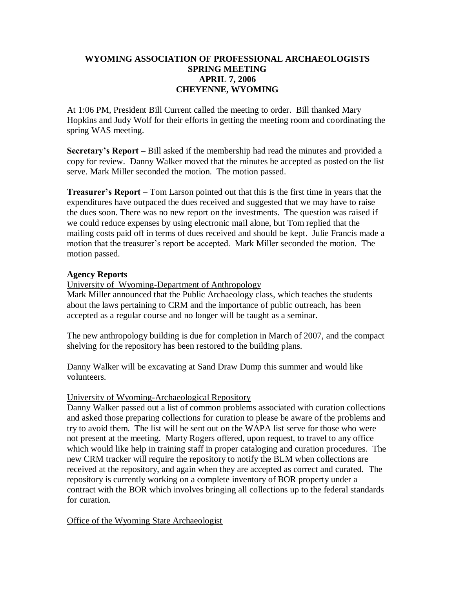# **WYOMING ASSOCIATION OF PROFESSIONAL ARCHAEOLOGISTS SPRING MEETING APRIL 7, 2006 CHEYENNE, WYOMING**

At 1:06 PM, President Bill Current called the meeting to order. Bill thanked Mary Hopkins and Judy Wolf for their efforts in getting the meeting room and coordinating the spring WAS meeting.

**Secretary's Report –** Bill asked if the membership had read the minutes and provided a copy for review. Danny Walker moved that the minutes be accepted as posted on the list serve. Mark Miller seconded the motion. The motion passed.

**Treasurer's Report** – Tom Larson pointed out that this is the first time in years that the expenditures have outpaced the dues received and suggested that we may have to raise the dues soon. There was no new report on the investments. The question was raised if we could reduce expenses by using electronic mail alone, but Tom replied that the mailing costs paid off in terms of dues received and should be kept. Julie Francis made a motion that the treasurer's report be accepted. Mark Miller seconded the motion. The motion passed.

## **Agency Reports**

University of Wyoming-Department of Anthropology

Mark Miller announced that the Public Archaeology class, which teaches the students about the laws pertaining to CRM and the importance of public outreach, has been accepted as a regular course and no longer will be taught as a seminar.

The new anthropology building is due for completion in March of 2007, and the compact shelving for the repository has been restored to the building plans.

Danny Walker will be excavating at Sand Draw Dump this summer and would like volunteers.

## University of Wyoming-Archaeological Repository

Danny Walker passed out a list of common problems associated with curation collections and asked those preparing collections for curation to please be aware of the problems and try to avoid them. The list will be sent out on the WAPA list serve for those who were not present at the meeting. Marty Rogers offered, upon request, to travel to any office which would like help in training staff in proper cataloging and curation procedures. The new CRM tracker will require the repository to notify the BLM when collections are received at the repository, and again when they are accepted as correct and curated. The repository is currently working on a complete inventory of BOR property under a contract with the BOR which involves bringing all collections up to the federal standards for curation.

Office of the Wyoming State Archaeologist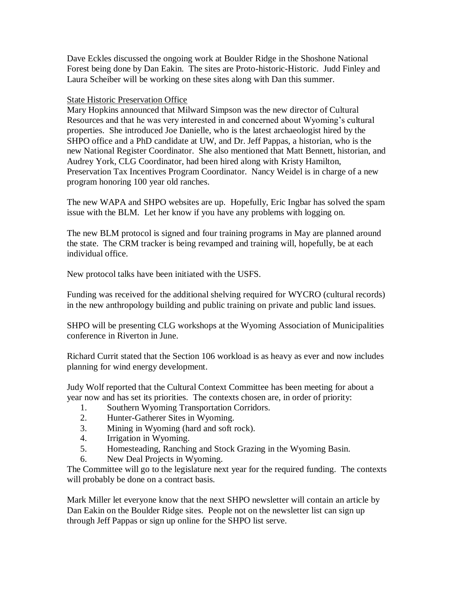Dave Eckles discussed the ongoing work at Boulder Ridge in the Shoshone National Forest being done by Dan Eakin. The sites are Proto-historic-Historic. Judd Finley and Laura Scheiber will be working on these sites along with Dan this summer.

# State Historic Preservation Office

Mary Hopkins announced that Milward Simpson was the new director of Cultural Resources and that he was very interested in and concerned about Wyoming's cultural properties. She introduced Joe Danielle, who is the latest archaeologist hired by the SHPO office and a PhD candidate at UW, and Dr. Jeff Pappas, a historian, who is the new National Register Coordinator. She also mentioned that Matt Bennett, historian, and Audrey York, CLG Coordinator, had been hired along with Kristy Hamilton, Preservation Tax Incentives Program Coordinator. Nancy Weidel is in charge of a new program honoring 100 year old ranches.

The new WAPA and SHPO websites are up. Hopefully, Eric Ingbar has solved the spam issue with the BLM. Let her know if you have any problems with logging on.

The new BLM protocol is signed and four training programs in May are planned around the state. The CRM tracker is being revamped and training will, hopefully, be at each individual office.

New protocol talks have been initiated with the USFS.

Funding was received for the additional shelving required for WYCRO (cultural records) in the new anthropology building and public training on private and public land issues.

SHPO will be presenting CLG workshops at the Wyoming Association of Municipalities conference in Riverton in June.

Richard Currit stated that the Section 106 workload is as heavy as ever and now includes planning for wind energy development.

Judy Wolf reported that the Cultural Context Committee has been meeting for about a year now and has set its priorities. The contexts chosen are, in order of priority:

- 1. Southern Wyoming Transportation Corridors.
- 2. Hunter-Gatherer Sites in Wyoming.
- 3. Mining in Wyoming (hard and soft rock).
- 4. Irrigation in Wyoming.
- 5. Homesteading, Ranching and Stock Grazing in the Wyoming Basin.
- 6. New Deal Projects in Wyoming.

The Committee will go to the legislature next year for the required funding. The contexts will probably be done on a contract basis.

Mark Miller let everyone know that the next SHPO newsletter will contain an article by Dan Eakin on the Boulder Ridge sites. People not on the newsletter list can sign up through Jeff Pappas or sign up online for the SHPO list serve.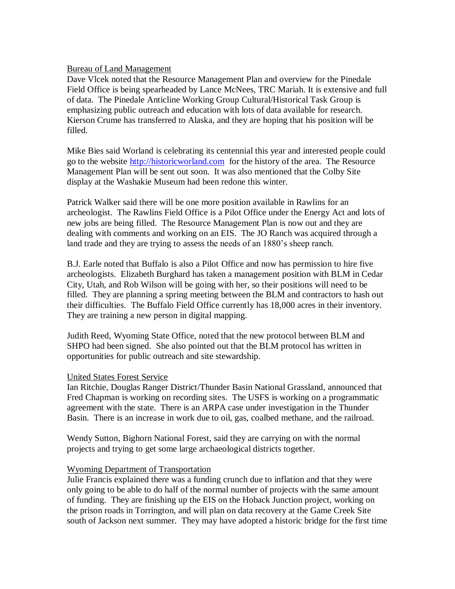#### Bureau of Land Management

Dave Vlcek noted that the Resource Management Plan and overview for the Pinedale Field Office is being spearheaded by Lance McNees, TRC Mariah. It is extensive and full of data. The Pinedale Anticline Working Group Cultural/Historical Task Group is emphasizing public outreach and education with lots of data available for research. Kierson Crume has transferred to Alaska, and they are hoping that his position will be filled.

Mike Bies said Worland is celebrating its centennial this year and interested people could go to the website [http://historicworland.com](http://historicworland.com/) for the history of the area. The Resource Management Plan will be sent out soon. It was also mentioned that the Colby Site display at the Washakie Museum had been redone this winter.

Patrick Walker said there will be one more position available in Rawlins for an archeologist. The Rawlins Field Office is a Pilot Office under the Energy Act and lots of new jobs are being filled. The Resource Management Plan is now out and they are dealing with comments and working on an EIS. The JO Ranch was acquired through a land trade and they are trying to assess the needs of an 1880's sheep ranch.

B.J. Earle noted that Buffalo is also a Pilot Office and now has permission to hire five archeologists. Elizabeth Burghard has taken a management position with BLM in Cedar City, Utah, and Rob Wilson will be going with her, so their positions will need to be filled. They are planning a spring meeting between the BLM and contractors to hash out their difficulties. The Buffalo Field Office currently has 18,000 acres in their inventory. They are training a new person in digital mapping.

Judith Reed, Wyoming State Office, noted that the new protocol between BLM and SHPO had been signed. She also pointed out that the BLM protocol has written in opportunities for public outreach and site stewardship.

#### United States Forest Service

Ian Ritchie, Douglas Ranger District/Thunder Basin National Grassland, announced that Fred Chapman is working on recording sites. The USFS is working on a programmatic agreement with the state. There is an ARPA case under investigation in the Thunder Basin. There is an increase in work due to oil, gas, coalbed methane, and the railroad.

Wendy Sutton, Bighorn National Forest, said they are carrying on with the normal projects and trying to get some large archaeological districts together.

#### Wyoming Department of Transportation

Julie Francis explained there was a funding crunch due to inflation and that they were only going to be able to do half of the normal number of projects with the same amount of funding. They are finishing up the EIS on the Hoback Junction project, working on the prison roads in Torrington, and will plan on data recovery at the Game Creek Site south of Jackson next summer. They may have adopted a historic bridge for the first time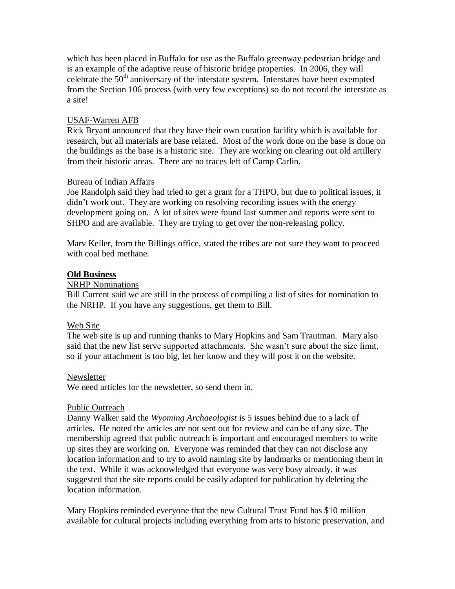which has been placed in Buffalo for use as the Buffalo greenway pedestrian bridge and is an example of the adaptive reuse of historic bridge properties. In 2006, they will celebrate the  $50<sup>th</sup>$  anniversary of the interstate system. Interstates have been exempted from the Section 106 process (with very few exceptions) so do not record the interstate as a site!

# USAF-Warren AFB

Rick Bryant announced that they have their own curation facility which is available for research, but all materials are base related. Most of the work done on the base is done on the buildings as the base is a historic site. They are working on clearing out old artillery from their historic areas. There are no traces left of Camp Carlin.

# Bureau of Indian Affairs

Joe Randolph said they had tried to get a grant for a THPO, but due to political issues, it didn't work out. They are working on resolving recording issues with the energy development going on. A lot of sites were found last summer and reports were sent to SHPO and are available. They are trying to get over the non-releasing policy.

Marv Keller, from the Billings office, stated the tribes are not sure they want to proceed with coal bed methane.

## **Old Business**

## NRHP Nominations

Bill Current said we are still in the process of compiling a list of sites for nomination to the NRHP. If you have any suggestions, get them to Bill.

## Web Site

The web site is up and running thanks to Mary Hopkins and Sam Trautman. Mary also said that the new list serve supported attachments. She wasn't sure about the size limit, so if your attachment is too big, let her know and they will post it on the website.

## Newsletter

We need articles for the newsletter, so send them in.

## Public Outreach

Danny Walker said the *Wyoming Archaeologist* is 5 issues behind due to a lack of articles. He noted the articles are not sent out for review and can be of any size. The membership agreed that public outreach is important and encouraged members to write up sites they are working on. Everyone was reminded that they can not disclose any location information and to try to avoid naming site by landmarks or mentioning them in the text. While it was acknowledged that everyone was very busy already, it was suggested that the site reports could be easily adapted for publication by deleting the location information.

Mary Hopkins reminded everyone that the new Cultural Trust Fund has \$10 million available for cultural projects including everything from arts to historic preservation, and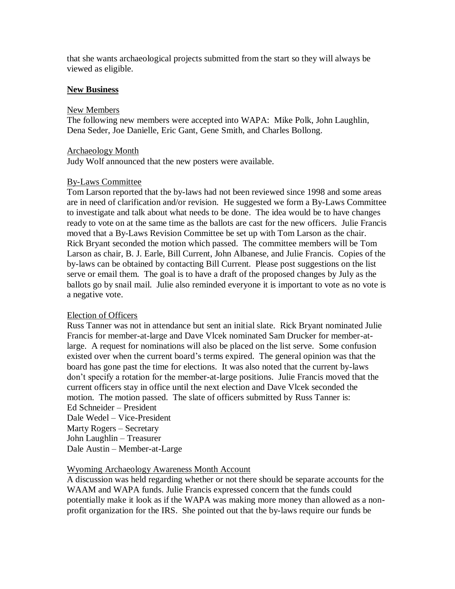that she wants archaeological projects submitted from the start so they will always be viewed as eligible.

## **New Business**

#### New Members

The following new members were accepted into WAPA: Mike Polk, John Laughlin, Dena Seder, Joe Danielle, Eric Gant, Gene Smith, and Charles Bollong.

#### Archaeology Month

Judy Wolf announced that the new posters were available.

## By-Laws Committee

Tom Larson reported that the by-laws had not been reviewed since 1998 and some areas are in need of clarification and/or revision. He suggested we form a By-Laws Committee to investigate and talk about what needs to be done. The idea would be to have changes ready to vote on at the same time as the ballots are cast for the new officers. Julie Francis moved that a By-Laws Revision Committee be set up with Tom Larson as the chair. Rick Bryant seconded the motion which passed. The committee members will be Tom Larson as chair, B. J. Earle, Bill Current, John Albanese, and Julie Francis. Copies of the by-laws can be obtained by contacting Bill Current. Please post suggestions on the list serve or email them. The goal is to have a draft of the proposed changes by July as the ballots go by snail mail. Julie also reminded everyone it is important to vote as no vote is a negative vote.

## Election of Officers

Russ Tanner was not in attendance but sent an initial slate. Rick Bryant nominated Julie Francis for member-at-large and Dave Vlcek nominated Sam Drucker for member-atlarge. A request for nominations will also be placed on the list serve. Some confusion existed over when the current board's terms expired. The general opinion was that the board has gone past the time for elections. It was also noted that the current by-laws don't specify a rotation for the member-at-large positions. Julie Francis moved that the current officers stay in office until the next election and Dave Vlcek seconded the motion. The motion passed. The slate of officers submitted by Russ Tanner is: Ed Schneider – President Dale Wedel – Vice-President Marty Rogers – Secretary John Laughlin – Treasurer

Dale Austin – Member-at-Large

## Wyoming Archaeology Awareness Month Account

A discussion was held regarding whether or not there should be separate accounts for the WAAM and WAPA funds. Julie Francis expressed concern that the funds could potentially make it look as if the WAPA was making more money than allowed as a nonprofit organization for the IRS. She pointed out that the by-laws require our funds be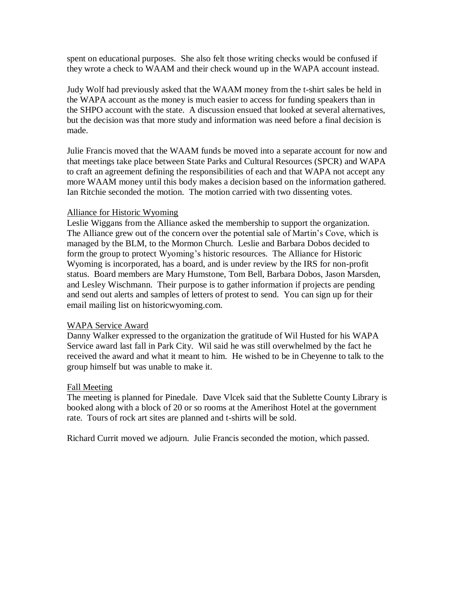spent on educational purposes. She also felt those writing checks would be confused if they wrote a check to WAAM and their check wound up in the WAPA account instead.

Judy Wolf had previously asked that the WAAM money from the t-shirt sales be held in the WAPA account as the money is much easier to access for funding speakers than in the SHPO account with the state. A discussion ensued that looked at several alternatives, but the decision was that more study and information was need before a final decision is made.

Julie Francis moved that the WAAM funds be moved into a separate account for now and that meetings take place between State Parks and Cultural Resources (SPCR) and WAPA to craft an agreement defining the responsibilities of each and that WAPA not accept any more WAAM money until this body makes a decision based on the information gathered. Ian Ritchie seconded the motion. The motion carried with two dissenting votes.

#### Alliance for Historic Wyoming

Leslie Wiggans from the Alliance asked the membership to support the organization. The Alliance grew out of the concern over the potential sale of Martin's Cove, which is managed by the BLM, to the Mormon Church. Leslie and Barbara Dobos decided to form the group to protect Wyoming's historic resources. The Alliance for Historic Wyoming is incorporated, has a board, and is under review by the IRS for non-profit status. Board members are Mary Humstone, Tom Bell, Barbara Dobos, Jason Marsden, and Lesley Wischmann. Their purpose is to gather information if projects are pending and send out alerts and samples of letters of protest to send. You can sign up for their email mailing list on historicwyoming.com.

## WAPA Service Award

Danny Walker expressed to the organization the gratitude of Wil Husted for his WAPA Service award last fall in Park City. Wil said he was still overwhelmed by the fact he received the award and what it meant to him. He wished to be in Cheyenne to talk to the group himself but was unable to make it.

#### Fall Meeting

The meeting is planned for Pinedale. Dave Vlcek said that the Sublette County Library is booked along with a block of 20 or so rooms at the Amerihost Hotel at the government rate. Tours of rock art sites are planned and t-shirts will be sold.

Richard Currit moved we adjourn. Julie Francis seconded the motion, which passed.